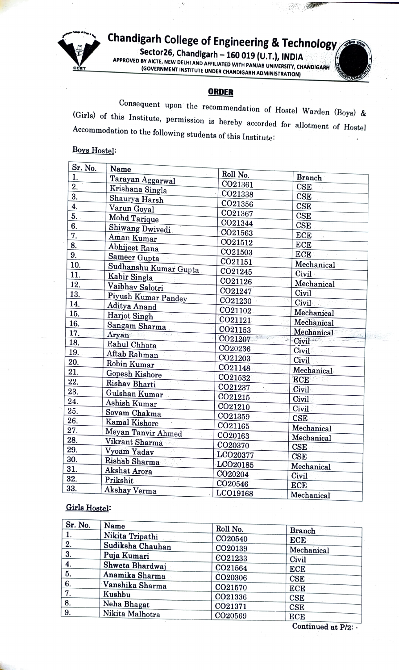

Chandigarh College of Engineering & Technology

 $-27.56$ 

APPROVED Sector26, Chandigarh - 160 019 (U.T.), INDIA BY APPROVED BY AICTE, NEW DELHI AND AFFILIATED WITH PANJAB UNIVERSITY, CHANDIGARH (GOVERNMENT INSTITUTE UNDER CHANDIGARH ADMINISTRATION)

**ORDER**<br>Consequent upon the recommendation of Hostel Warden (Boys) & (Girls) of this Institute, permission is hereby accorded for allotment of Hostel Accommodation to the following students of this Institute:

## **Boys Hostel:**

| Sr. No.<br>1.    | Name                               | Roll No.             | <b>Branch</b> |
|------------------|------------------------------------|----------------------|---------------|
| $\overline{2}$ . | Tarayan Aggarwal                   | CO21361              | <b>CSE</b>    |
| 3.               | Krishana Singla                    | CO21338              | <b>CSE</b>    |
| 4.               | Shaurya Harsh                      | CO21356              | <b>CSE</b>    |
| 5.               | Varun Goyal                        | CO21367              | <b>CSE</b>    |
|                  | Mohd Tarique                       | CO21344              | <b>CSE</b>    |
| 6.               | Shiwang Dwivedi                    | CO21563              |               |
| 7.               | Aman Kumar                         | CO21512              | ECE           |
| 8.               | Abhijeet Rana                      | CO21503              | <b>ECE</b>    |
| 9.               | Sameer Gupta                       | CO21151              | <b>ECE</b>    |
| 10.              | Sudhanshu Kumar Gupta              | CO21245              | Mechanical    |
| 11.              | Kabir Singla                       | CO21126              | Civil         |
| 12.              | Vaibhav Salotri                    |                      | Mechanical    |
| 13.              | Piyush Kumar Pandey                | CO21247              | Civil         |
| 14.              | Aditya Anand                       | CO21230              | Civil         |
| 15.              | Harjot Singh                       | CO21102              | Mechanical    |
| 16.              | Sangam Sharma                      | CO21121              | Mechanical    |
| 17.              | Aryan<br>$\mathcal{O}(1/\sqrt{N})$ | CO21153              | Mechanical    |
| 18.              | Rahul Chhata                       | CO21207              | Civil         |
| 19.              | Aftab Rahman                       | CO20236              | Civil         |
| 20.              | Robin Kumar                        | CO21203              | Civil         |
| 21.              | Gopesh Kishore                     | CO21148              | Mechanical    |
| 22.              | Rishav Bharti                      | CO21532              | ECE           |
| 23.              |                                    | CO21237              | Civil         |
| 24.              | Gulshan Kumar                      | CO21215              | Civil         |
| 25.              | Ashish Kumar                       | CO21210              | Civil         |
| 26.              | Sovam Chakma                       | CO21359              | <b>CSE</b>    |
| 27.              | Kamal Kishore                      | CO21165              | Mechanical    |
| 28.              | Meyan Tanvir Ahmed                 | CO20163              | Mechanical    |
| 29.              | Vikrant Sharma                     | CO20370              | <b>CSE</b>    |
|                  | Vyoam Yadav                        | LCO20377             | CSE           |
| 30.              | Rishab Sharma                      | LCO <sub>20185</sub> | Mechanical    |
| 31.              | Akshat Arora                       | CO20204              | Civil         |
| 32.              | Prikshit                           | CO20546              | <b>ECE</b>    |
| 33.              | Akshay Verma                       | LCO19168             | Mechanical    |

## Girls Hostel:

| Sr. No. | Name             | Roll No.            | <b>Branch</b>                           |
|---------|------------------|---------------------|-----------------------------------------|
| ı.      | Nikita Tripathi  | CO <sub>20540</sub> | ECE                                     |
| 2.      | Sudiksha Chauhan | CO20139             | Mechanical                              |
| 3.      | Puja Kumari      | CO21233             | Civil                                   |
| 4.      | Shweta Bhardwaj  | CO21564             | ECE                                     |
| 5.      | Anamika Sharma   | CO20306             | CSE                                     |
| 6.      | Vanshika Sharma  | CO21570             | <b>ECE</b>                              |
| 7.      | Kushbu           | CO21336             | CSE                                     |
| 8.      | Neha Bhagat      | CO21371             | CSE                                     |
| 9.      | Nikita Malhotra  | CO <sub>20569</sub> | <b>ECE</b>                              |
|         |                  |                     | $\sim$<br>The Company of the Company of |

Continued at P/2:-